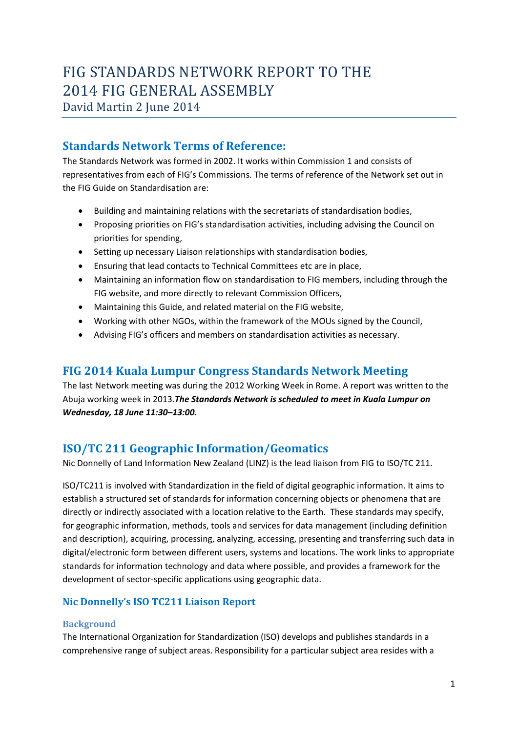# FIG STANDARDS NETWORK REPORT TO THE 2014 FIG GENERAL ASSEMBLY

David Martin 2 June 2014

# **Standards Network Terms of Reference:**

The Standards Network was formed in 2002. It works within Commission 1 and consists of representatives from each of FIG's Commissions. The terms of reference of the Network set out in the FIG Guide on Standardisation are:

- Building and maintaining relations with the secretariats of standardisation bodies,
- Proposing priorities on FIG's standardisation activities, including advising the Council on priorities for spending,
- Setting up necessary Liaison relationships with standardisation bodies,
- Ensuring that lead contacts to Technical Committees etc are in place,
- Maintaining an information flow on standardisation to FIG members, including through the FIG website, and more directly to relevant Commission Officers,
- Maintaining this Guide, and related material on the FIG website,
- Working with other NGOs, within the framework of the MOUs signed by the Council,
- Advising FIG's officers and members on standardisation activities as necessary.

# **FIG 2014 Kuala Lumpur Congress Standards Network Meeting**

The last Network meeting was during the 2012 Working Week in Rome. A report was written to the Abuja working week in 2013.*The Standards Network is scheduled to meet in Kuala Lumpur on Wednesday, 18 June 11:30–13:00.*

# **ISO/TC 211 Geographic Information/Geomatics**

Nic Donnelly of Land Information New Zealand (LINZ) is the lead liaison from FIG to ISO/TC 211.

ISO/TC211 is involved with Standardization in the field of digital geographic information. It aims to establish a structured set of standards for information concerning objects or phenomena that are directly or indirectly associated with a location relative to the Earth. These standards may specify, for geographic information, methods, tools and services for data management (including definition and description), acquiring, processing, analyzing, accessing, presenting and transferring such data in digital/electronic form between different users, systems and locations. The work links to appropriate standards for information technology and data where possible, and provides a framework for the development of sector‐specific applications using geographic data.

### **Nic Donnelly's ISO TC211 Liaison Report**

### **Background**

The International Organization for Standardization (ISO) develops and publishes standards in a comprehensive range of subject areas. Responsibility for a particular subject area resides with a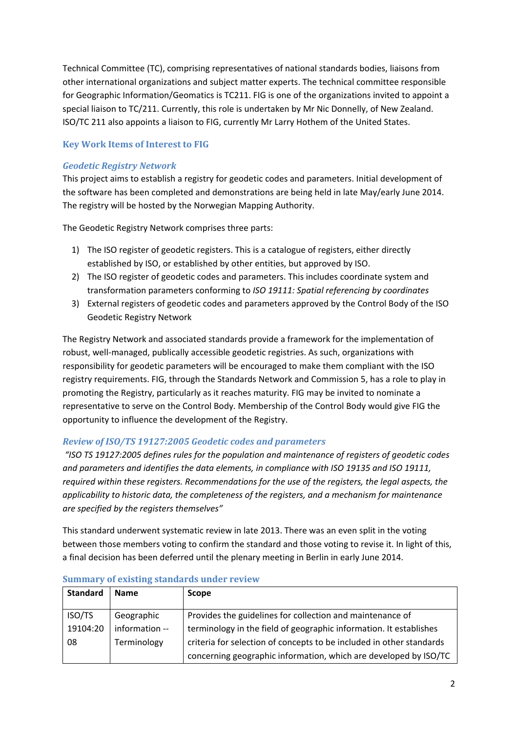Technical Committee (TC), comprising representatives of national standards bodies, liaisons from other international organizations and subject matter experts. The technical committee responsible for Geographic Information/Geomatics is TC211. FIG is one of the organizations invited to appoint a special liaison to TC/211. Currently, this role is undertaken by Mr Nic Donnelly, of New Zealand. ISO/TC 211 also appoints a liaison to FIG, currently Mr Larry Hothem of the United States.

#### **Key Work Items of Interest to FIG**

#### *Geodetic Registry Network*

This project aims to establish a registry for geodetic codes and parameters. Initial development of the software has been completed and demonstrations are being held in late May/early June 2014. The registry will be hosted by the Norwegian Mapping Authority.

The Geodetic Registry Network comprises three parts:

- 1) The ISO register of geodetic registers. This is a catalogue of registers, either directly established by ISO, or established by other entities, but approved by ISO.
- 2) The ISO register of geodetic codes and parameters. This includes coordinate system and transformation parameters conforming to *ISO 19111: Spatial referencing by coordinates*
- 3) External registers of geodetic codes and parameters approved by the Control Body of the ISO Geodetic Registry Network

The Registry Network and associated standards provide a framework for the implementation of robust, well-managed, publically accessible geodetic registries. As such, organizations with responsibility for geodetic parameters will be encouraged to make them compliant with the ISO registry requirements. FIG, through the Standards Network and Commission 5, has a role to play in promoting the Registry, particularly as it reaches maturity. FIG may be invited to nominate a representative to serve on the Control Body. Membership of the Control Body would give FIG the opportunity to influence the development of the Registry.

#### *Review of ISO/TS 19127:2005 Geodetic codes and parameters*

*"ISO TS 19127:2005 defines rules for the population and maintenance of registers of geodetic codes and parameters and identifies the data elements, in compliance with ISO 19135 and ISO 19111, required within these registers. Recommendations for the use of the registers, the legal aspects, the applicability to historic data, the completeness of the registers, and a mechanism for maintenance are specified by the registers themselves"*

This standard underwent systematic review in late 2013. There was an even split in the voting between those members voting to confirm the standard and those voting to revise it. In light of this, a final decision has been deferred until the plenary meeting in Berlin in early June 2014.

| <b>Standard</b> | <b>Name</b>    | <b>Scope</b>                                                         |  |
|-----------------|----------------|----------------------------------------------------------------------|--|
| ISO/TS          | Geographic     | Provides the guidelines for collection and maintenance of            |  |
| 19104:20        | information -- | terminology in the field of geographic information. It establishes   |  |
| 08              | Terminology    | criteria for selection of concepts to be included in other standards |  |
|                 |                | concerning geographic information, which are developed by ISO/TC     |  |

#### **Summary of existing standards under review**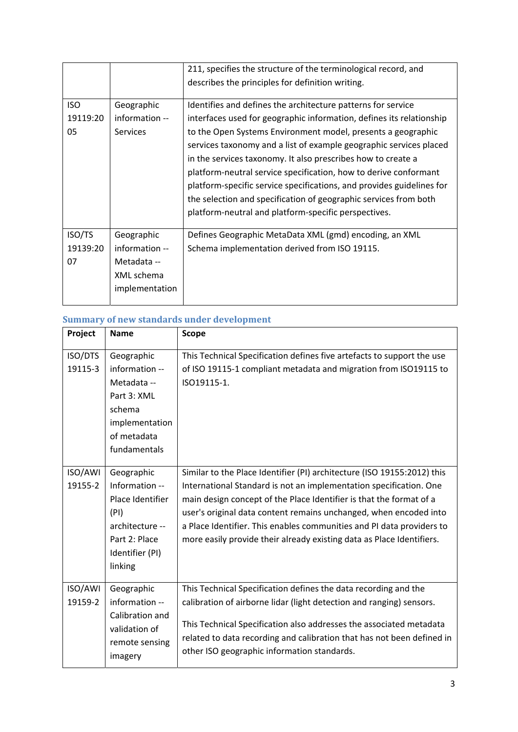|            |                | 211, specifies the structure of the terminological record, and        |  |  |
|------------|----------------|-----------------------------------------------------------------------|--|--|
|            |                | describes the principles for definition writing.                      |  |  |
| <b>ISO</b> | Geographic     | Identifies and defines the architecture patterns for service          |  |  |
| 19119:20   | information -- | interfaces used for geographic information, defines its relationship  |  |  |
| 05         | Services       | to the Open Systems Environment model, presents a geographic          |  |  |
|            |                | services taxonomy and a list of example geographic services placed    |  |  |
|            |                | in the services taxonomy. It also prescribes how to create a          |  |  |
|            |                | platform-neutral service specification, how to derive conformant      |  |  |
|            |                | platform-specific service specifications, and provides guidelines for |  |  |
|            |                | the selection and specification of geographic services from both      |  |  |
|            |                | platform-neutral and platform-specific perspectives.                  |  |  |
|            |                |                                                                       |  |  |
| ISO/TS     | Geographic     | Defines Geographic MetaData XML (gmd) encoding, an XML                |  |  |
| 19139:20   | information -- | Schema implementation derived from ISO 19115.                         |  |  |
| 07         | Metadata --    |                                                                       |  |  |
|            | XML schema     |                                                                       |  |  |
|            | implementation |                                                                       |  |  |
|            |                |                                                                       |  |  |

# **Summary of new standards under development**

| Project            | <b>Name</b>                                                                                                                | <b>Scope</b>                                                                                                                                                                                                                                                                                                                                                                                                                                |
|--------------------|----------------------------------------------------------------------------------------------------------------------------|---------------------------------------------------------------------------------------------------------------------------------------------------------------------------------------------------------------------------------------------------------------------------------------------------------------------------------------------------------------------------------------------------------------------------------------------|
| ISO/DTS<br>19115-3 | Geographic<br>information --<br>Metadata --<br>Part 3: XML<br>schema<br>implementation<br>of metadata<br>fundamentals      | This Technical Specification defines five artefacts to support the use<br>of ISO 19115-1 compliant metadata and migration from ISO19115 to<br>ISO19115-1.                                                                                                                                                                                                                                                                                   |
| ISO/AWI<br>19155-2 | Geographic<br>Information --<br>Place Identifier<br>(PI)<br>architecture --<br>Part 2: Place<br>Identifier (PI)<br>linking | Similar to the Place Identifier (PI) architecture (ISO 19155:2012) this<br>International Standard is not an implementation specification. One<br>main design concept of the Place Identifier is that the format of a<br>user's original data content remains unchanged, when encoded into<br>a Place Identifier. This enables communities and PI data providers to<br>more easily provide their already existing data as Place Identifiers. |
| ISO/AWI<br>19159-2 | Geographic<br>information --<br>Calibration and<br>validation of<br>remote sensing<br>imagery                              | This Technical Specification defines the data recording and the<br>calibration of airborne lidar (light detection and ranging) sensors.<br>This Technical Specification also addresses the associated metadata<br>related to data recording and calibration that has not been defined in<br>other ISO geographic information standards.                                                                                                     |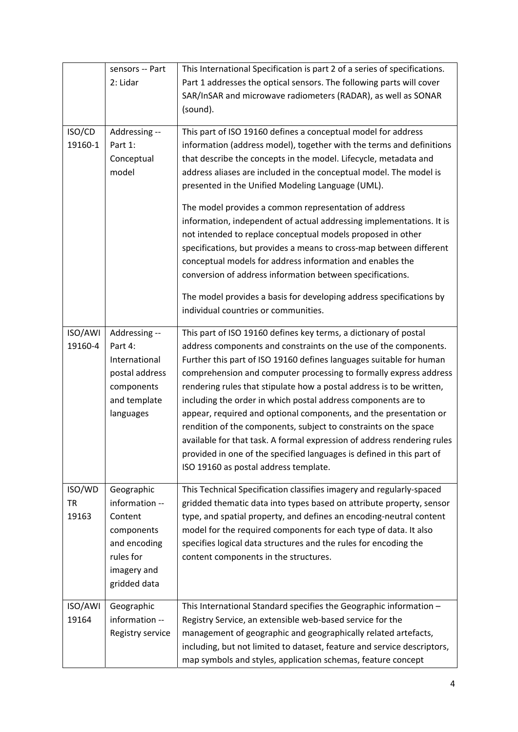|           | sensors -- Part  | This International Specification is part 2 of a series of specifications. |  |  |
|-----------|------------------|---------------------------------------------------------------------------|--|--|
|           | 2: Lidar         | Part 1 addresses the optical sensors. The following parts will cover      |  |  |
|           |                  | SAR/InSAR and microwave radiometers (RADAR), as well as SONAR             |  |  |
|           |                  | (sound).                                                                  |  |  |
| ISO/CD    | Addressing --    | This part of ISO 19160 defines a conceptual model for address             |  |  |
| 19160-1   | Part 1:          | information (address model), together with the terms and definitions      |  |  |
|           | Conceptual       | that describe the concepts in the model. Lifecycle, metadata and          |  |  |
|           | model            | address aliases are included in the conceptual model. The model is        |  |  |
|           |                  | presented in the Unified Modeling Language (UML).                         |  |  |
|           |                  | The model provides a common representation of address                     |  |  |
|           |                  | information, independent of actual addressing implementations. It is      |  |  |
|           |                  | not intended to replace conceptual models proposed in other               |  |  |
|           |                  | specifications, but provides a means to cross-map between different       |  |  |
|           |                  | conceptual models for address information and enables the                 |  |  |
|           |                  | conversion of address information between specifications.                 |  |  |
|           |                  | The model provides a basis for developing address specifications by       |  |  |
|           |                  | individual countries or communities.                                      |  |  |
| ISO/AWI   | Addressing --    | This part of ISO 19160 defines key terms, a dictionary of postal          |  |  |
| 19160-4   | Part 4:          | address components and constraints on the use of the components.          |  |  |
|           | International    | Further this part of ISO 19160 defines languages suitable for human       |  |  |
|           | postal address   | comprehension and computer processing to formally express address         |  |  |
|           | components       | rendering rules that stipulate how a postal address is to be written,     |  |  |
|           | and template     | including the order in which postal address components are to             |  |  |
|           | languages        | appear, required and optional components, and the presentation or         |  |  |
|           |                  | rendition of the components, subject to constraints on the space          |  |  |
|           |                  | available for that task. A formal expression of address rendering rules   |  |  |
|           |                  | provided in one of the specified languages is defined in this part of     |  |  |
|           |                  | ISO 19160 as postal address template.                                     |  |  |
| ISO/WD    | Geographic       | This Technical Specification classifies imagery and regularly-spaced      |  |  |
| <b>TR</b> | information --   | gridded thematic data into types based on attribute property, sensor      |  |  |
| 19163     | Content          | type, and spatial property, and defines an encoding-neutral content       |  |  |
|           | components       | model for the required components for each type of data. It also          |  |  |
|           | and encoding     | specifies logical data structures and the rules for encoding the          |  |  |
|           | rules for        | content components in the structures.                                     |  |  |
|           | imagery and      |                                                                           |  |  |
|           | gridded data     |                                                                           |  |  |
| ISO/AWI   | Geographic       | This International Standard specifies the Geographic information -        |  |  |
| 19164     | information --   | Registry Service, an extensible web-based service for the                 |  |  |
|           | Registry service | management of geographic and geographically related artefacts,            |  |  |
|           |                  | including, but not limited to dataset, feature and service descriptors,   |  |  |
|           |                  | map symbols and styles, application schemas, feature concept              |  |  |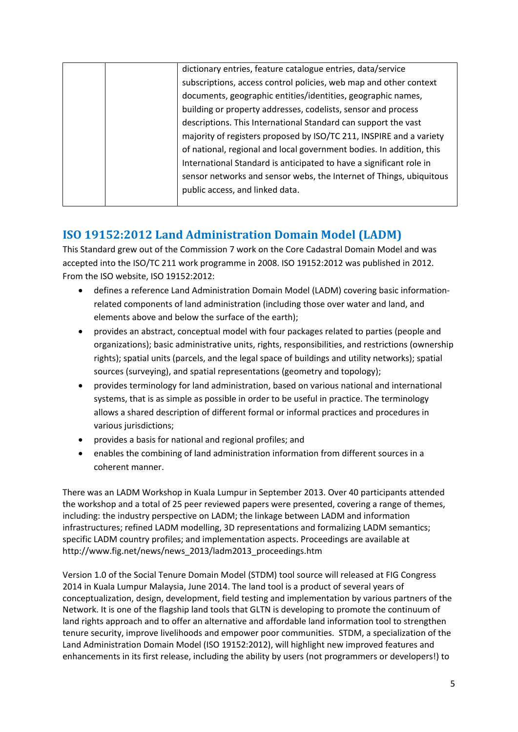|  | dictionary entries, feature catalogue entries, data/service          |
|--|----------------------------------------------------------------------|
|  | subscriptions, access control policies, web map and other context    |
|  | documents, geographic entities/identities, geographic names,         |
|  | building or property addresses, codelists, sensor and process        |
|  | descriptions. This International Standard can support the vast       |
|  | majority of registers proposed by ISO/TC 211, INSPIRE and a variety  |
|  | of national, regional and local government bodies. In addition, this |
|  | International Standard is anticipated to have a significant role in  |
|  | sensor networks and sensor webs, the Internet of Things, ubiquitous  |
|  | public access, and linked data.                                      |
|  |                                                                      |

# **ISO 19152:2012 Land Administration Domain Model (LADM)**

This Standard grew out of the Commission 7 work on the Core Cadastral Domain Model and was accepted into the ISO/TC 211 work programme in 2008. ISO 19152:2012 was published in 2012. From the ISO website, ISO 19152:2012:

- defines a reference Land Administration Domain Model (LADM) covering basic information‐ related components of land administration (including those over water and land, and elements above and below the surface of the earth);
- provides an abstract, conceptual model with four packages related to parties (people and organizations); basic administrative units, rights, responsibilities, and restrictions (ownership rights); spatial units (parcels, and the legal space of buildings and utility networks); spatial sources (surveying), and spatial representations (geometry and topology);
- provides terminology for land administration, based on various national and international systems, that is as simple as possible in order to be useful in practice. The terminology allows a shared description of different formal or informal practices and procedures in various jurisdictions;
- provides a basis for national and regional profiles; and
- enables the combining of land administration information from different sources in a coherent manner.

There was an LADM Workshop in Kuala Lumpur in September 2013. Over 40 participants attended the workshop and a total of 25 peer reviewed papers were presented, covering a range of themes, including: the industry perspective on LADM; the linkage between LADM and information infrastructures; refined LADM modelling, 3D representations and formalizing LADM semantics; specific LADM country profiles; and implementation aspects. Proceedings are available at http://www.fig.net/news/news\_2013/ladm2013\_proceedings.htm

Version 1.0 of the Social Tenure Domain Model (STDM) tool source will released at FIG Congress 2014 in Kuala Lumpur Malaysia, June 2014. The land tool is a product of several years of conceptualization, design, development, field testing and implementation by various partners of the Network. It is one of the flagship land tools that GLTN is developing to promote the continuum of land rights approach and to offer an alternative and affordable land information tool to strengthen tenure security, improve livelihoods and empower poor communities. STDM, a specialization of the Land Administration Domain Model (ISO 19152:2012), will highlight new improved features and enhancements in its first release, including the ability by users (not programmers or developers!) to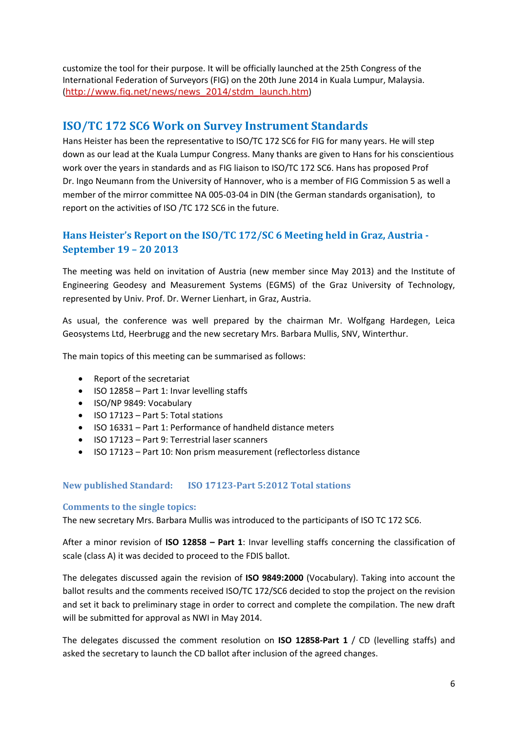customize the tool for their purpose. It will be officially launched at the 25th Congress of the International Federation of Surveyors (FIG) on the 20th June 2014 in Kuala Lumpur, Malaysia. (http://www.fig.net/news/news\_2014/stdm\_launch.htm)

### **ISO/TC 172 SC6 Work on Survey Instrument Standards**

Hans Heister has been the representative to ISO/TC 172 SC6 for FIG for many years. He will step down as our lead at the Kuala Lumpur Congress. Many thanks are given to Hans for his conscientious work over the years in standards and as FIG liaison to ISO/TC 172 SC6. Hans has proposed Prof Dr. Ingo Neumann from the University of Hannover, who is a member of FIG Commission 5 as well a member of the mirror committee NA 005‐03‐04 in DIN (the German standards organisation), to report on the activities of ISO /TC 172 SC6 in the future.

### **Hans Heister's Report on the ISO/TC 172/SC 6 Meeting held in Graz, Austria ‐ September 19 – 20 2013**

The meeting was held on invitation of Austria (new member since May 2013) and the Institute of Engineering Geodesy and Measurement Systems (EGMS) of the Graz University of Technology, represented by Univ. Prof. Dr. Werner Lienhart, in Graz, Austria.

As usual, the conference was well prepared by the chairman Mr. Wolfgang Hardegen, Leica Geosystems Ltd, Heerbrugg and the new secretary Mrs. Barbara Mullis, SNV, Winterthur.

The main topics of this meeting can be summarised as follows:

- Report of the secretariat
- ISO 12858 Part 1: Invar levelling staffs
- ISO/NP 9849: Vocabulary
- $\bullet$  ISO 17123 Part 5: Total stations
- ISO 16331 Part 1: Performance of handheld distance meters
- ISO 17123 Part 9: Terrestrial laser scanners
- ISO 17123 Part 10: Non prism measurement (reflectorless distance

#### **New published Standard: ISO 17123‐Part 5:2012 Total stations**

#### **Comments to the single topics:**

The new secretary Mrs. Barbara Mullis was introduced to the participants of ISO TC 172 SC6.

After a minor revision of **ISO 12858 – Part 1**: Invar levelling staffs concerning the classification of scale (class A) it was decided to proceed to the FDIS ballot.

The delegates discussed again the revision of **ISO 9849:2000** (Vocabulary). Taking into account the ballot results and the comments received ISO/TC 172/SC6 decided to stop the project on the revision and set it back to preliminary stage in order to correct and complete the compilation. The new draft will be submitted for approval as NWI in May 2014.

The delegates discussed the comment resolution on **ISO 12858‐Part 1** / CD (levelling staffs) and asked the secretary to launch the CD ballot after inclusion of the agreed changes.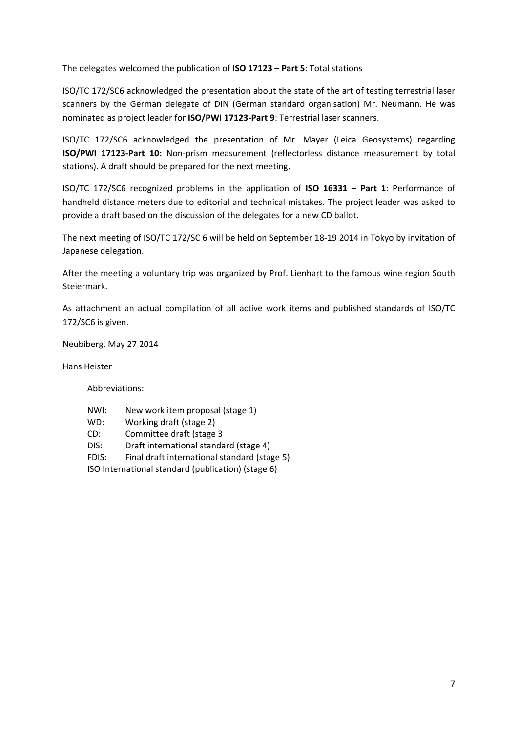The delegates welcomed the publication of **ISO 17123 – Part 5**: Total stations

ISO/TC 172/SC6 acknowledged the presentation about the state of the art of testing terrestrial laser scanners by the German delegate of DIN (German standard organisation) Mr. Neumann. He was nominated as project leader for **ISO/PWI 17123‐Part 9**: Terrestrial laser scanners.

ISO/TC 172/SC6 acknowledged the presentation of Mr. Mayer (Leica Geosystems) regarding **ISO/PWI 17123‐Part 10:** Non‐prism measurement (reflectorless distance measurement by total stations). A draft should be prepared for the next meeting.

ISO/TC 172/SC6 recognized problems in the application of **ISO 16331 – Part 1**: Performance of handheld distance meters due to editorial and technical mistakes. The project leader was asked to provide a draft based on the discussion of the delegates for a new CD ballot.

The next meeting of ISO/TC 172/SC 6 will be held on September 18‐19 2014 in Tokyo by invitation of Japanese delegation.

After the meeting a voluntary trip was organized by Prof. Lienhart to the famous wine region South Steiermark.

As attachment an actual compilation of all active work items and published standards of ISO/TC 172/SC6 is given.

Neubiberg, May 27 2014

Hans Heister

Abbreviations:

- NWI: New work item proposal (stage 1)
- WD: Working draft (stage 2)
- CD: Committee draft (stage 3
- DIS: Draft international standard (stage 4)
- FDIS: Final draft international standard (stage 5)

ISO International standard (publication) (stage 6)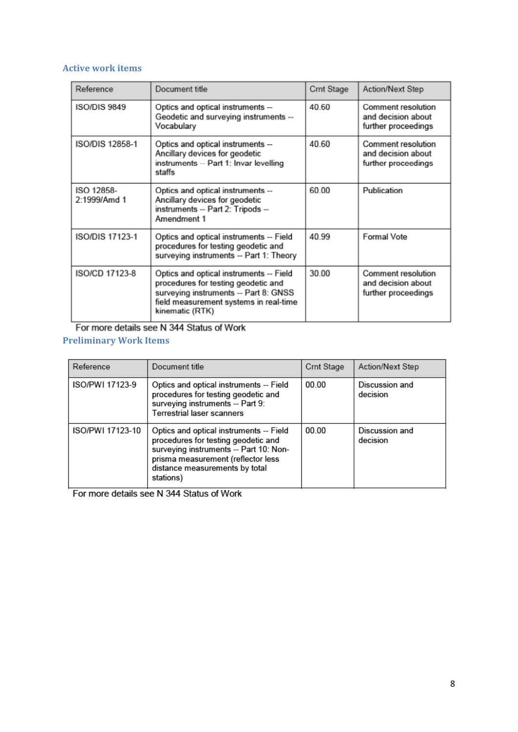#### **Active work items**

| Reference                  | Document title                                                                                                                                                                       | Crnt Stage | Action/Next Step                                                       |
|----------------------------|--------------------------------------------------------------------------------------------------------------------------------------------------------------------------------------|------------|------------------------------------------------------------------------|
| <b>ISO/DIS 9849</b>        | Optics and optical instruments --<br>Geodetic and surveying instruments --<br>Vocabulary                                                                                             | 40.60      | Comment resolution<br>and decision about<br>further proceedings        |
| ISO/DIS 12858-1            | Optics and optical instruments --<br>Ancillary devices for geodetic<br>instruments -- Part 1: Invar levelling<br>staffs                                                              | 40.60      | Comment resolution<br>and decision about<br>further proceedings        |
| ISO 12858-<br>2:1999/Amd 1 | Optics and optical instruments --<br>Ancillary devices for geodetic<br>instruments -- Part 2: Tripods --<br>Amendment 1                                                              | 60.00      | Publication                                                            |
| <b>ISO/DIS 17123-1</b>     | Optics and optical instruments -- Field<br>procedures for testing geodetic and<br>surveying instruments -- Part 1: Theory                                                            | 40.99      | <b>Formal Vote</b>                                                     |
| <b>ISO/CD 17123-8</b>      | Optics and optical instruments -- Field<br>procedures for testing geodetic and<br>surveying instruments -- Part 8: GNSS<br>field measurement systems in real-time<br>kinematic (RTK) | 30.00      | <b>Comment resolution</b><br>and decision about<br>further proceedings |

For more details see N 344 Status of Work

### **Preliminary Work Items**

| Reference        | Document title                                                                                                                                                                                                | Crnt Stage | Action/Next Step           |
|------------------|---------------------------------------------------------------------------------------------------------------------------------------------------------------------------------------------------------------|------------|----------------------------|
| ISO/PWI 17123-9  | Optics and optical instruments -- Field<br>procedures for testing geodetic and<br>surveying instruments -- Part 9:<br>Terrestrial laser scanners                                                              | 00.00      | Discussion and<br>decision |
| ISO/PWI 17123-10 | Optics and optical instruments -- Field<br>procedures for testing geodetic and<br>surveying instruments -- Part 10: Non-<br>prisma measurement (reflector less<br>distance measurements by total<br>stations) | 00.00      | Discussion and<br>decision |

For more details see N 344 Status of Work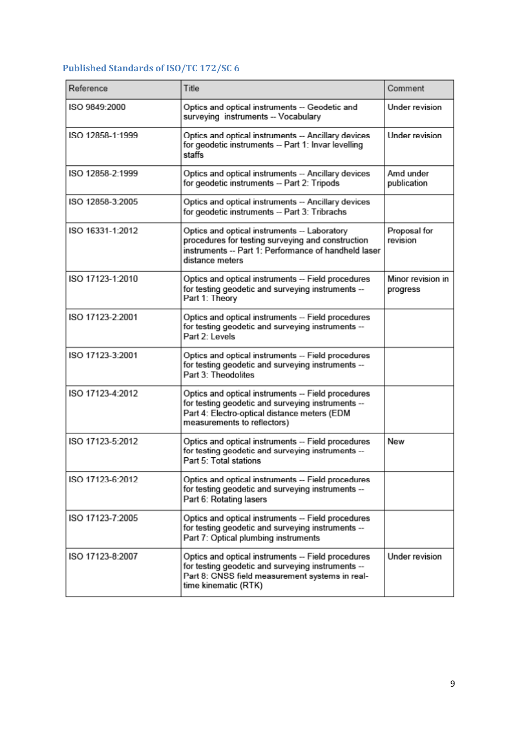# **Published Standards of ISO/TC 172/SC 6**

| Reference        | Title                                                                                                                                                                                  | Comment                       |
|------------------|----------------------------------------------------------------------------------------------------------------------------------------------------------------------------------------|-------------------------------|
| ISO 9849:2000    | Optics and optical instruments -- Geodetic and<br>surveying instruments -- Vocabulary                                                                                                  | Under revision                |
| ISO 12858-1:1999 | Optics and optical instruments -- Ancillary devices<br>for geodetic instruments -- Part 1: Invar levelling<br>staffs                                                                   | Under revision                |
| ISO 12858-2:1999 | Optics and optical instruments -- Ancillary devices<br>for geodetic instruments -- Part 2: Tripods                                                                                     | Amd under<br>publication      |
| ISO 12858-3:2005 | Optics and optical instruments -- Ancillary devices<br>for geodetic instruments -- Part 3: Tribrachs                                                                                   |                               |
| ISO 16331-1:2012 | Optics and optical instruments -- Laboratory<br>procedures for testing surveying and construction<br>instruments -- Part 1: Performance of handheld laser<br>distance meters           | Proposal for<br>revision      |
| ISO 17123-1:2010 | Optics and optical instruments -- Field procedures<br>for testing geodetic and surveying instruments --<br>Part 1: Theory                                                              | Minor revision in<br>progress |
| ISO 17123-2:2001 | Optics and optical instruments -- Field procedures<br>for testing geodetic and surveying instruments --<br>Part 2: Levels                                                              |                               |
| ISO 17123-3:2001 | Optics and optical instruments -- Field procedures<br>for testing geodetic and surveying instruments --<br>Part 3: Theodolites                                                         |                               |
| ISO 17123-4:2012 | Optics and optical instruments -- Field procedures<br>for testing geodetic and surveying instruments --<br>Part 4: Electro-optical distance meters (EDM<br>measurements to reflectors) |                               |
| ISO 17123-5:2012 | Optics and optical instruments -- Field procedures<br>for testing geodetic and surveying instruments --<br>Part 5: Total stations                                                      | New                           |
| ISO 17123-6:2012 | Optics and optical instruments -- Field procedures<br>for testing geodetic and surveying instruments --<br>Part 6: Rotating lasers                                                     |                               |
| ISO 17123-7:2005 | Optics and optical instruments -- Field procedures<br>for testing geodetic and surveying instruments --<br>Part 7: Optical plumbing instruments                                        |                               |
| ISO 17123-8:2007 | Optics and optical instruments -- Field procedures<br>for testing geodetic and surveying instruments --<br>Part 8: GNSS field measurement systems in real-<br>time kinematic (RTK)     | Under revision                |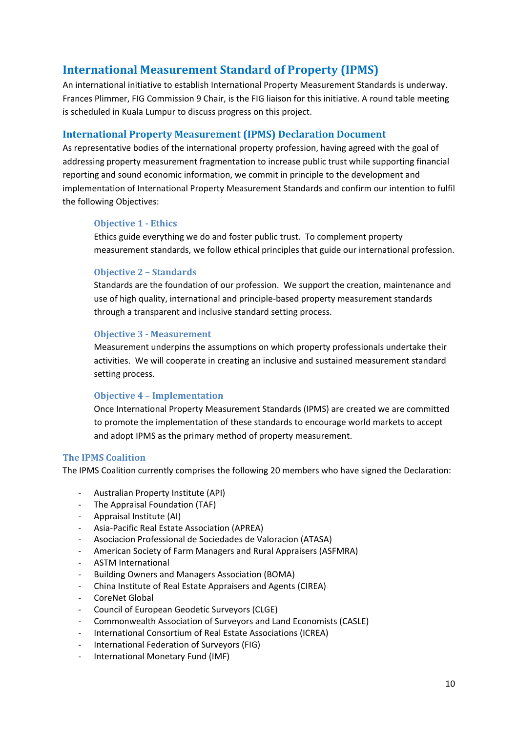# **International Measurement Standard of Property (IPMS)**

An international initiative to establish International Property Measurement Standards is underway. Frances Plimmer, FIG Commission 9 Chair, is the FIG liaison for this initiative. A round table meeting is scheduled in Kuala Lumpur to discuss progress on this project.

#### **International Property Measurement (IPMS) Declaration Document**

As representative bodies of the international property profession, having agreed with the goal of addressing property measurement fragmentation to increase public trust while supporting financial reporting and sound economic information, we commit in principle to the development and implementation of International Property Measurement Standards and confirm our intention to fulfil the following Objectives:

#### **Objective 1 - Ethics**

Ethics guide everything we do and foster public trust. To complement property measurement standards, we follow ethical principles that guide our international profession.

#### **Objective 2 – Standards**

Standards are the foundation of our profession. We support the creation, maintenance and use of high quality, international and principle‐based property measurement standards through a transparent and inclusive standard setting process.

#### **Objective 3 ‐ Measurement**

Measurement underpins the assumptions on which property professionals undertake their activities. We will cooperate in creating an inclusive and sustained measurement standard setting process.

#### **Objective 4 – Implementation**

Once International Property Measurement Standards (IPMS) are created we are committed to promote the implementation of these standards to encourage world markets to accept and adopt IPMS as the primary method of property measurement.

#### **The IPMS Coalition**

The IPMS Coalition currently comprises the following 20 members who have signed the Declaration:

- ‐ Australian Property Institute (API)
- ‐ The Appraisal Foundation (TAF)
- ‐ Appraisal Institute (AI)
- ‐ Asia‐Pacific Real Estate Association (APREA)
- ‐ Asociacion Professional de Sociedades de Valoracion (ATASA)
- ‐ American Society of Farm Managers and Rural Appraisers (ASFMRA)
- ‐ ASTM International
- ‐ Building Owners and Managers Association (BOMA)
- ‐ China Institute of Real Estate Appraisers and Agents (CIREA)
- ‐ CoreNet Global
- ‐ Council of European Geodetic Surveyors (CLGE)
- ‐ Commonwealth Association of Surveyors and Land Economists (CASLE)
- International Consortium of Real Estate Associations (ICREA)
- ‐ International Federation of Surveyors (FIG)
- ‐ International Monetary Fund (IMF)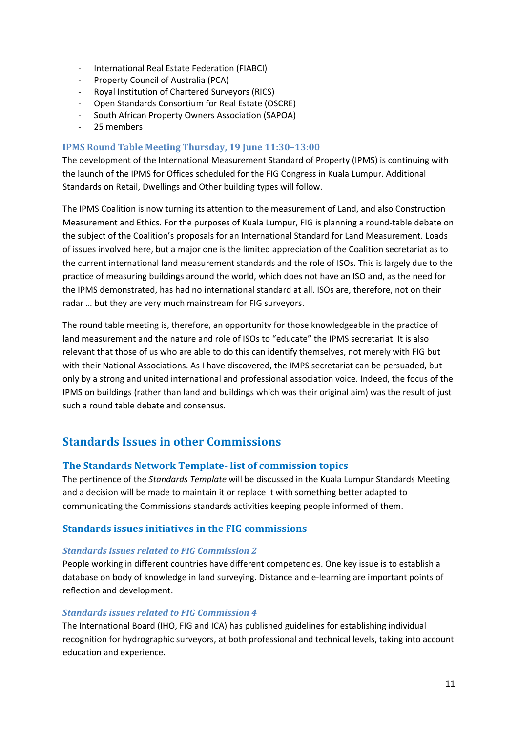- ‐ International Real Estate Federation (FIABCI)
- ‐ Property Council of Australia (PCA)
- ‐ Royal Institution of Chartered Surveyors (RICS)
- ‐ Open Standards Consortium for Real Estate (OSCRE)
- ‐ South African Property Owners Association (SAPOA)
- ‐ 25 members

#### **IPMS Round Table Meeting Thursday, 19 June 11:30–13:00**

The development of the International Measurement Standard of Property (IPMS) is continuing with the launch of the IPMS for Offices scheduled for the FIG Congress in Kuala Lumpur. Additional Standards on Retail, Dwellings and Other building types will follow.

The IPMS Coalition is now turning its attention to the measurement of Land, and also Construction Measurement and Ethics. For the purposes of Kuala Lumpur, FIG is planning a round-table debate on the subject of the Coalition's proposals for an International Standard for Land Measurement. Loads of issues involved here, but a major one is the limited appreciation of the Coalition secretariat as to the current international land measurement standards and the role of ISOs. This is largely due to the practice of measuring buildings around the world, which does not have an ISO and, as the need for the IPMS demonstrated, has had no international standard at all. ISOs are, therefore, not on their radar … but they are very much mainstream for FIG surveyors.

The round table meeting is, therefore, an opportunity for those knowledgeable in the practice of land measurement and the nature and role of ISOs to "educate" the IPMS secretariat. It is also relevant that those of us who are able to do this can identify themselves, not merely with FIG but with their National Associations. As I have discovered, the IMPS secretariat can be persuaded, but only by a strong and united international and professional association voice. Indeed, the focus of the IPMS on buildings (rather than land and buildings which was their original aim) was the result of just such a round table debate and consensus.

### **Standards Issues in other Commissions**

#### **The Standards Network Template‐ list of commission topics**

The pertinence of the *Standards Template* will be discussed in the Kuala Lumpur Standards Meeting and a decision will be made to maintain it or replace it with something better adapted to communicating the Commissions standards activities keeping people informed of them.

#### **Standards issues initiatives in the FIG commissions**

#### *Standards issues related to FIG Commission 2*

People working in different countries have different competencies. One key issue is to establish a database on body of knowledge in land surveying. Distance and e‐learning are important points of reflection and development.

#### *Standards issues related to FIG Commission 4*

The International Board (IHO, FIG and ICA) has published guidelines for establishing individual recognition for hydrographic surveyors, at both professional and technical levels, taking into account education and experience.